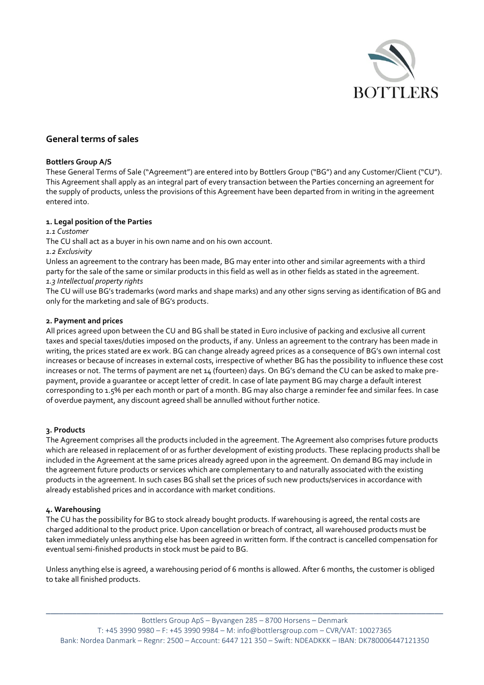

# **General terms of sales**

### **Bottlers Group A/S**

These General Terms of Sale ("Agreement") are entered into by Bottlers Group ("BG") and any Customer/Client ("CU"). This Agreement shall apply as an integral part of every transaction between the Parties concerning an agreement for the supply of products, unless the provisions of this Agreement have been departed from in writing in the agreement entered into.

## **1. Legal position of the Parties**

*1.1 Customer* 

The CU shall act as a buyer in his own name and on his own account.

### *1.2 Exclusivity*

Unless an agreement to the contrary has been made, BG may enter into other and similar agreements with a third party for the sale of the same or similar products in this field as well as in other fields as stated in the agreement.

## *1.3 Intellectual property rights*

The CU will use BG's trademarks (word marks and shape marks) and any other signs serving as identification of BG and only for the marketing and sale of BG's products.

## **2. Payment and prices**

All prices agreed upon between the CU and BG shall be stated in Euro inclusive of packing and exclusive all current taxes and special taxes/duties imposed on the products, if any. Unless an agreement to the contrary has been made in writing, the prices stated are ex work. BG can change already agreed prices as a consequence of BG's own internal cost increases or because of increases in external costs, irrespective of whether BG has the possibility to influence these cost increases or not. The terms of payment are net 14 (fourteen) days. On BG's demand the CU can be asked to make prepayment, provide a guarantee or accept letter of credit. In case of late payment BG may charge a default interest corresponding to 1.5% per each month or part of a month. BG may also charge a reminder fee and similar fees. In case of overdue payment, any discount agreed shall be annulled without further notice.

## **3. Products**

The Agreement comprises all the products included in the agreement. The Agreement also comprises future products which are released in replacement of or as further development of existing products. These replacing products shall be included in the Agreement at the same prices already agreed upon in the agreement. On demand BG may include in the agreement future products or services which are complementary to and naturally associated with the existing products in the agreement. In such cases BG shall set the prices of such new products/services in accordance with already established prices and in accordance with market conditions.

### **4. Warehousing**

The CU has the possibility for BG to stock already bought products. If warehousing is agreed, the rental costs are charged additional to the product price. Upon cancellation or breach of contract, all warehoused products must be taken immediately unless anything else has been agreed in written form. If the contract is cancelled compensation for eventual semi-finished products in stock must be paid to BG.

Unless anything else is agreed, a warehousing period of 6 months is allowed. After 6 months, the customer is obliged to take all finished products.

\_\_\_\_\_\_\_\_\_\_\_\_\_\_\_\_\_\_\_\_\_\_\_\_\_\_\_\_\_\_\_\_\_\_\_\_\_\_\_\_\_\_\_\_\_\_\_\_\_\_\_\_\_\_\_\_\_\_\_\_\_\_\_\_\_\_\_\_\_\_\_\_\_\_\_\_\_\_\_\_\_\_\_\_\_\_\_\_\_\_\_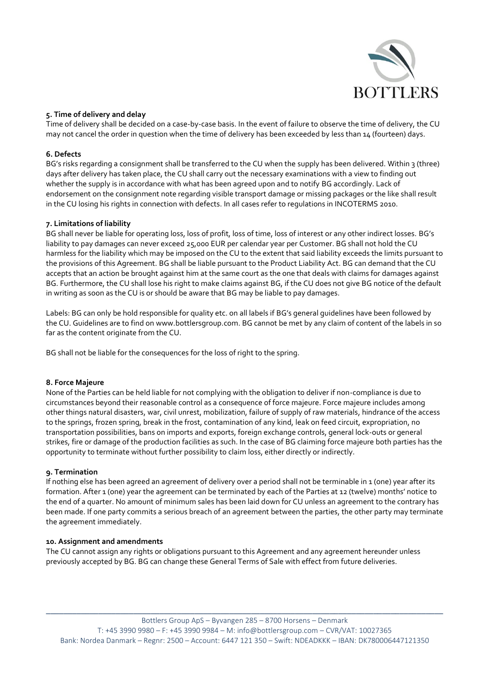

## **5. Time of delivery and delay**

Time of delivery shall be decided on a case-by-case basis. In the event of failure to observe the time of delivery, the CU may not cancel the order in question when the time of delivery has been exceeded by less than 14 (fourteen) days.

## **6. Defects**

BG's risks regarding a consignment shall be transferred to the CU when the supply has been delivered. Within 3 (three) days after delivery has taken place, the CU shall carry out the necessary examinations with a view to finding out whether the supply is in accordance with what has been agreed upon and to notify BG accordingly. Lack of endorsement on the consignment note regarding visible transport damage or missing packages or the like shall result in the CU losing his rights in connection with defects. In all cases refer to regulations in INCOTERMS 2010.

### **7. Limitations of liability**

BG shall never be liable for operating loss, loss of profit, loss of time, loss of interest or any other indirect losses. BG's liability to pay damages can never exceed 25,000 EUR per calendar year per Customer. BG shall not hold the CU harmless for the liability which may be imposed on the CU to the extent that said liability exceeds the limits pursuant to the provisions of this Agreement. BG shall be liable pursuant to the Product Liability Act. BG can demand that the CU accepts that an action be brought against him at the same court as the one that deals with claims for damages against BG. Furthermore, the CU shall lose his right to make claims against BG, if the CU does not give BG notice of the default in writing as soon as the CU is or should be aware that BG may be liable to pay damages.

Labels: BG can only be hold responsible for quality etc. on all labels if BG's general guidelines have been followed by the CU. Guidelines are to find on www.bottlersgroup.com. BG cannot be met by any claim of content of the labels in so far as the content originate from the CU.

BG shall not be liable for the consequences for the loss of right to the spring.

### **8. Force Majeure**

None of the Parties can be held liable for not complying with the obligation to deliver if non-compliance is due to circumstances beyond their reasonable control as a consequence of force majeure. Force majeure includes among other things natural disasters, war, civil unrest, mobilization, failure of supply of raw materials, hindrance of the access to the springs, frozen spring, break in the frost, contamination of any kind, leak on feed circuit, expropriation, no transportation possibilities, bans on imports and exports, foreign exchange controls, general lock-outs or general strikes, fire or damage of the production facilities as such. In the case of BG claiming force majeure both parties has the opportunity to terminate without further possibility to claim loss, either directly or indirectly.

### **9. Termination**

If nothing else has been agreed an agreement of delivery over a period shall not be terminable in 1 (one) year after its formation. After 1 (one) year the agreement can be terminated by each of the Parties at 12 (twelve) months' notice to the end of a quarter. No amount of minimum sales has been laid down for CU unless an agreement to the contrary has been made. If one party commits a serious breach of an agreement between the parties, the other party may terminate the agreement immediately.

### **10. Assignment and amendments**

The CU cannot assign any rights or obligations pursuant to this Agreement and any agreement hereunder unless previously accepted by BG. BG can change these General Terms of Sale with effect from future deliveries.

\_\_\_\_\_\_\_\_\_\_\_\_\_\_\_\_\_\_\_\_\_\_\_\_\_\_\_\_\_\_\_\_\_\_\_\_\_\_\_\_\_\_\_\_\_\_\_\_\_\_\_\_\_\_\_\_\_\_\_\_\_\_\_\_\_\_\_\_\_\_\_\_\_\_\_\_\_\_\_\_\_\_\_\_\_\_\_\_\_\_\_